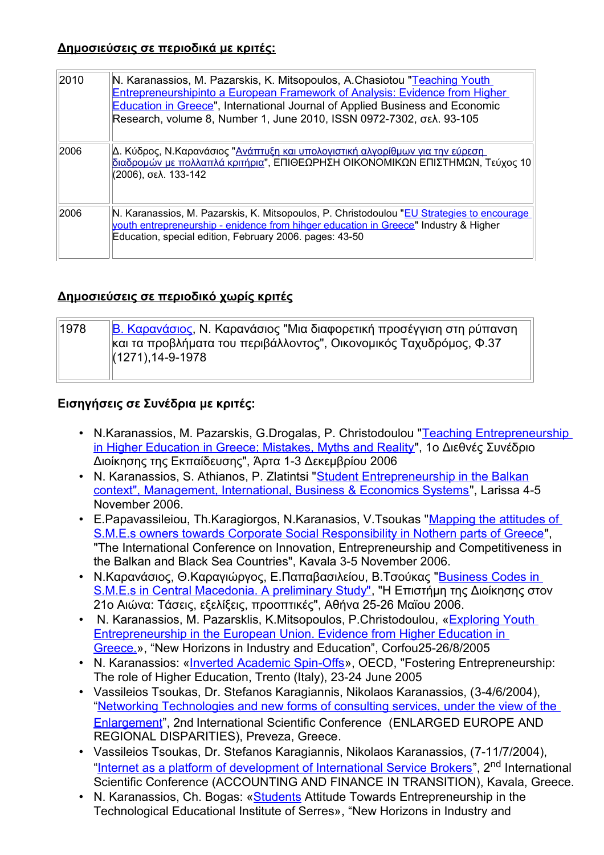#### **Δημοσιεύσεις σε περιοδικά με κριτές :**

| 2010 | N. Karanassios, M. Pazarskis, K. Mitsopoulos, A.Chasiotou "Teaching Youth<br><b>Entrepreneurshipinto a European Framework of Analysis: Evidence from Higher</b><br>Education in Greece", International Journal of Applied Business and Economic<br>Research, volume 8, Number 1, June 2010, ISSN 0972-7302, σελ. 93-105 |
|------|-------------------------------------------------------------------------------------------------------------------------------------------------------------------------------------------------------------------------------------------------------------------------------------------------------------------------|
| 2006 | Δ. Κύδρος, Ν.Καρανάσιος " <u>Ανάπτυξη και υπολογιστική αλγορίθμων για την εύρεση</u><br>διαδρομών με πολλαπλά κριτήρια", ΕΠΙΘΕΩΡΗΣΗ ΟΙΚΟΝΟΜΙΚΩΝ ΕΠΙΣΤΗΜΩΝ, Τεύχος 10<br>(2006), σελ. 133-142                                                                                                                            |
| 2006 | N. Karanassios, M. Pazarskis, K. Mitsopoulos, P. Christodoulou "EU Strategies to encourage<br>vouth entrepreneurship - enidence from hinger education in Greece" Industry & Higher<br>Education, special edition, February 2006. pages: 43-50                                                                           |

### **Δημοσιεύσεις σε περιοδικό χωρίς κριτές**

| 1978 | <u>Β. Καρανάσιος,</u> Ν. Καρανάσιος "Μια διαφορετική προσέγγιση στη ρύπανση |
|------|-----------------------------------------------------------------------------|
|      | και τα προβλήματα του περιβάλλοντος", Οικονομικός Ταχυδρόμος, Φ.37          |
|      | $\ (1271), 14-9-1978\ $                                                     |
|      |                                                                             |

## **Εισηγήσεις σε Συνέδρια με κριτές:**

- N.Karanassios, M. Pazarskis, G.Drogalas, P. Christodoulou ["Teaching Entrepreneurship](http://www.serresbiz.com/nk/Arta-Dec-2006.pdf) [in Higher Education in Greece; Mistakes, Myths and Reality"](http://www.serresbiz.com/nk/Arta-Dec-2006.pdf), 1ο Διεθνές Συνέδριο Διοίκησης της Εκπαίδευσης", Άρτα 1-3 Δεκεμβρίου 2006
- N. Karanassios, S. Athianos, P. Zlatintsi ["Student Entrepreneurship in the Balkan](http://www.serresbiz.com/nk/Larisa-11-06-Karanassios-a.pdf) [context", Management, International, Business & Economics Systems"](http://www.serresbiz.com/nk/Larisa-11-06-Karanassios-a.pdf), Larissa 4-5 November 2006.
- E. Papavassileiou, Th. Karagiorgos, N. Karanasios, V. Tsoukas ["Mapping the attitudes of](http://www.serresbiz.com/nk/Papavasileiou_Karagiorgos_Karanasios_Tsoukas.pdf) [S.M.E.s owners towards Corporate Social Responsibility in Nothern parts of Greece"](http://www.serresbiz.com/nk/Papavasileiou_Karagiorgos_Karanasios_Tsoukas.pdf), "The International Conference on Innovation, Entrepreneurship and Competitiveness in the Balkan and Black Sea Countries", Kavala 3-5 November 2006.
- Ν.Καρανάσιος, Θ.Καραγιώργος, Ε.Παπαβασιλείου, Β.Τσούκας ["Business Codes in](http://www.serresbiz.com/nk/Business%20Codes%20in%20S.pdf) [S.M.E.s in Central Macedonia. A preliminary Study",](http://www.serresbiz.com/nk/Business%20Codes%20in%20S.pdf) "Η Επιστήμη της Διοίκησης στον 21ο Αιώνα: Τάσεις, εξελίξεις, προοπτικές", Αθήνα 25-26 Μαϊου 2006.
- N. Karanassios, M. Pazarsklis, K.Mitsopoulos, P.Christodoulou, [«Exploring Youth](http://www.serresbiz.com/nk/Corfou-2005.doc) [Entrepreneurship in the European Union. Evidence from Higher Education in](http://www.serresbiz.com/nk/Corfou-2005.doc) [Greece.»](http://www.serresbiz.com/nk/Corfou-2005.doc), "New Horizons in Industry and Education", Corfou25-26/8/2005
- N. Karanassios: [«Inverted Academic Spin-Offs»](http://www.serresbiz.com/nk/Inverted%20academic%20spin-Trento-paper.doc), OECD, "Fostering Entrepreneurship: The role of Higher Education, Trento (Italy), 23-24 June 2005
- Vassileios Tsoukas, Dr. Stefanos Karagiannis, Nikolaos Karanassios, (3-4/6/2004), ["Networking Technologies and new forms of consulting services, under the view of the](http://www.serresbiz.com/nk/E-Consulting.pdf) [Enlargement"](http://www.serresbiz.com/nk/E-Consulting.pdf), 2nd International Scientific Conference (ENLARGED EUROPE AND REGIONAL DISPARITIES), Preveza, Greece.
- Vassileios Tsoukas, Dr. Stefanos Karagiannis, Nikolaos Karanassios, (7-11/7/2004), ["Internet as a platform of development of International Service Brokers"](http://www.serresbiz.com/nk/Brokers.doc), 2<sup>nd</sup> International Scientific Conference (ACCOUNTING AND FINANCE IN TRANSITION), Kavala, Greece.
- N. Karanassios, Ch. Bogas: [«Students](http://www.serresbiz.com/nk/Student_Entrepreneurship.htm) Attitude Towards Entrepreneurship in the Technological Educational Institute of Serres», "New Horizons in Industry and